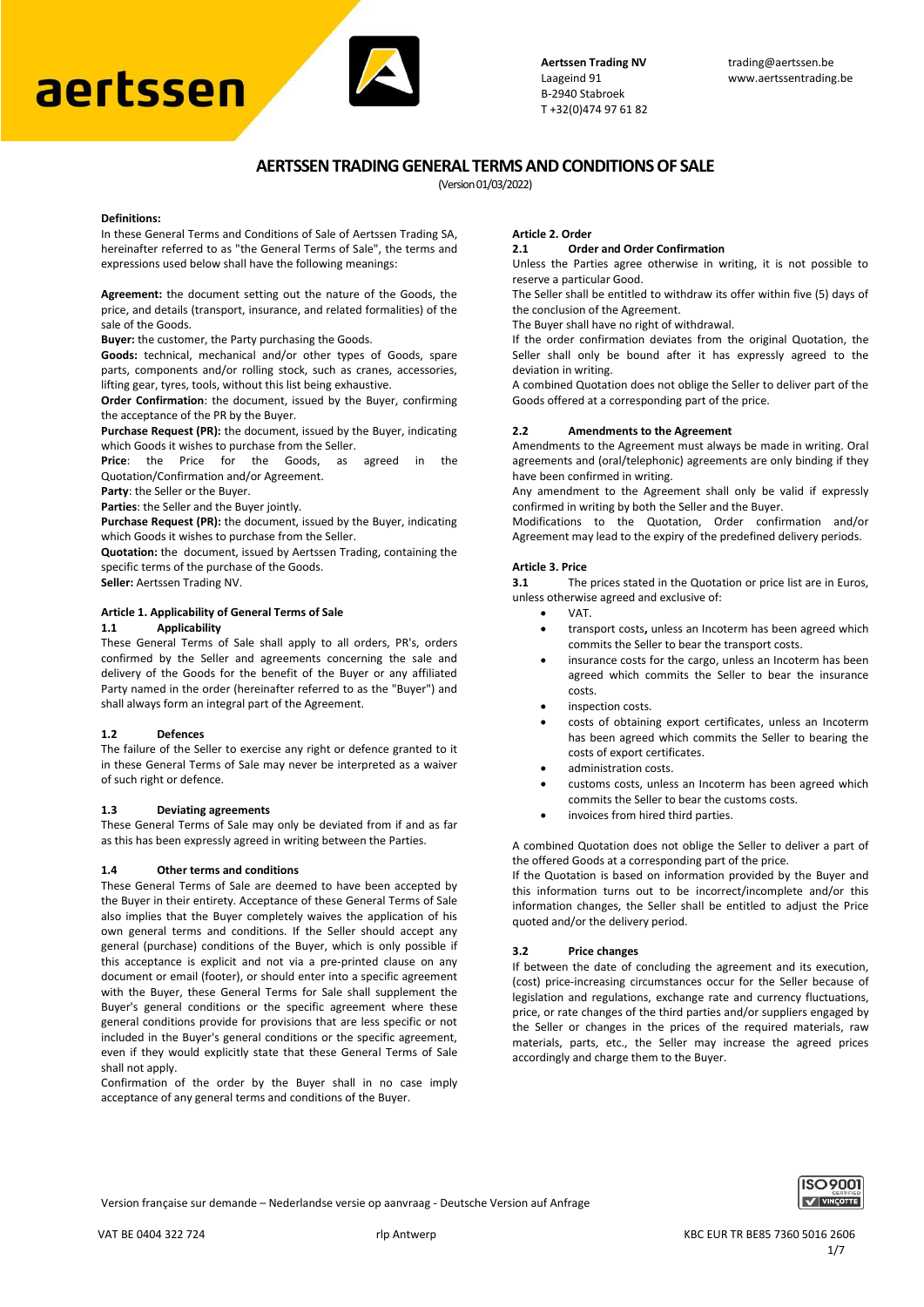# **Laageind 91** www.aertssentrading.be B-2940 Stabroek



T +32(0)474 97 61 82

# **AERTSSEN TRADING GENERAL TERMS AND CONDITIONS OF SALE**

(Version 01/03/2022)

### **Definitions:**

In these General Terms and Conditions of Sale of Aertssen Trading SA, hereinafter referred to as "the General Terms of Sale", the terms and expressions used below shall have the following meanings:

**Agreement:** the document setting out the nature of the Goods, the price, and details (transport, insurance, and related formalities) of the sale of the Goods.

**Buyer:** the customer, the Party purchasing the Goods.

**Goods:** technical, mechanical and/or other types of Goods, spare parts, components and/or rolling stock, such as cranes, accessories, lifting gear, tyres, tools, without this list being exhaustive.

**Order Confirmation**: the document, issued by the Buyer, confirming the acceptance of the PR by the Buyer.

**Purchase Request (PR):** the document, issued by the Buyer, indicating which Goods it wishes to purchase from the Seller.

**Price**: the Price for the Goods, as agreed in the Quotation/Confirmation and/or Agreement.

**Party**: the Seller or the Buyer.

**Parties**: the Seller and the Buyer jointly.

**Purchase Request (PR):** the document, issued by the Buyer, indicating which Goods it wishes to purchase from the Seller.

**Quotation:** the document, issued by Aertssen Trading, containing the specific terms of the purchase of the Goods.

**Seller:** Aertssen Trading NV.

#### **Article 1. Applicability of General Terms of Sale 1.1 Applicability**

These General Terms of Sale shall apply to all orders, PR's, orders confirmed by the Seller and agreements concerning the sale and delivery of the Goods for the benefit of the Buyer or any affiliated Party named in the order (hereinafter referred to as the "Buyer") and shall always form an integral part of the Agreement.

## **1.2 Defences**

The failure of the Seller to exercise any right or defence granted to it in these General Terms of Sale may never be interpreted as a waiver of such right or defence.

## **1.3 Deviating agreements**

These General Terms of Sale may only be deviated from if and as far as this has been expressly agreed in writing between the Parties.

## **1.4 Other terms and conditions**

These General Terms of Sale are deemed to have been accepted by the Buyer in their entirety. Acceptance of these General Terms of Sale also implies that the Buyer completely waives the application of his own general terms and conditions. If the Seller should accept any general (purchase) conditions of the Buyer, which is only possible if this acceptance is explicit and not via a pre-printed clause on any document or email (footer), or should enter into a specific agreement with the Buyer, these General Terms for Sale shall supplement the Buyer's general conditions or the specific agreement where these general conditions provide for provisions that are less specific or not included in the Buyer's general conditions or the specific agreement, even if they would explicitly state that these General Terms of Sale shall not apply.

Confirmation of the order by the Buyer shall in no case imply acceptance of any general terms and conditions of the Buyer.

### **Article 2. Order**

### **2.1 Order and Order Confirmation**

Unless the Parties agree otherwise in writing, it is not possible to reserve a particular Good.

The Seller shall be entitled to withdraw its offer within five (5) days of the conclusion of the Agreement.

The Buyer shall have no right of withdrawal.

If the order confirmation deviates from the original Quotation, the Seller shall only be bound after it has expressly agreed to the deviation in writing.

A combined Quotation does not oblige the Seller to deliver part of the Goods offered at a corresponding part of the price.

## **2.2 Amendments to the Agreement**

Amendments to the Agreement must always be made in writing. Oral agreements and (oral/telephonic) agreements are only binding if they have been confirmed in writing.

Any amendment to the Agreement shall only be valid if expressly confirmed in writing by both the Seller and the Buyer.

Modifications to the Quotation, Order confirmation and/or Agreement may lead to the expiry of the predefined delivery periods.

## **Article 3. Price**

**3.1** The prices stated in the Quotation or price list are in Euros, unless otherwise agreed and exclusive of:

- VAT.
- transport costs**,** unless an Incoterm has been agreed which commits the Seller to bear the transport costs.
- insurance costs for the cargo, unless an Incoterm has been agreed which commits the Seller to bear the insurance costs.
- inspection costs.
- costs of obtaining export certificates, unless an Incoterm has been agreed which commits the Seller to bearing the costs of export certificates.
- administration costs.
- customs costs, unless an Incoterm has been agreed which commits the Seller to bear the customs costs.
- invoices from hired third parties.

A combined Quotation does not oblige the Seller to deliver a part of the offered Goods at a corresponding part of the price.

If the Quotation is based on information provided by the Buyer and this information turns out to be incorrect/incomplete and/or this information changes, the Seller shall be entitled to adjust the Price quoted and/or the delivery period.

## **3.2 Price changes**

If between the date of concluding the agreement and its execution, (cost) price-increasing circumstances occur for the Seller because of legislation and regulations, exchange rate and currency fluctuations, price, or rate changes of the third parties and/or suppliers engaged by the Seller or changes in the prices of the required materials, raw materials, parts, etc., the Seller may increase the agreed prices accordingly and charge them to the Buyer.

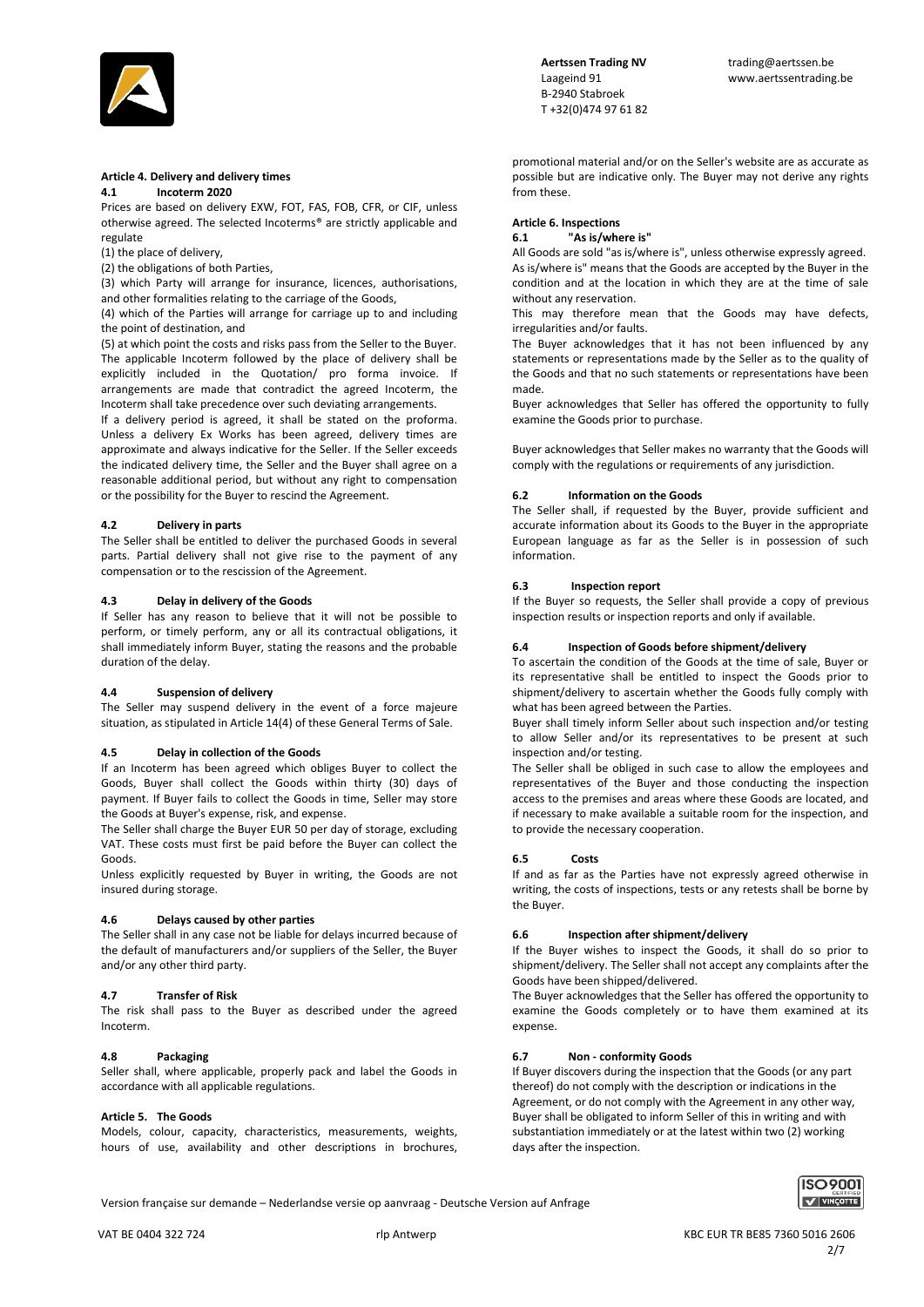

# **Article 4. Delivery and delivery times**

# **4.1 Incoterm 2020**

Prices are based on delivery EXW, FOT, FAS, FOB, CFR, or CIF, unless otherwise agreed. The selected Incoterms® are strictly applicable and regulate

(1) the place of delivery,

(2) the obligations of both Parties,

(3) which Party will arrange for insurance, licences, authorisations, and other formalities relating to the carriage of the Goods,

(4) which of the Parties will arrange for carriage up to and including the point of destination, and

(5) at which point the costs and risks pass from the Seller to the Buyer. The applicable Incoterm followed by the place of delivery shall be explicitly included in the Quotation/ pro forma invoice. If arrangements are made that contradict the agreed Incoterm, the Incoterm shall take precedence over such deviating arrangements.

If a delivery period is agreed, it shall be stated on the proforma. Unless a delivery Ex Works has been agreed, delivery times are approximate and always indicative for the Seller. If the Seller exceeds the indicated delivery time, the Seller and the Buyer shall agree on a reasonable additional period, but without any right to compensation or the possibility for the Buyer to rescind the Agreement.

### **4.2 Delivery in parts**

The Seller shall be entitled to deliver the purchased Goods in several parts. Partial delivery shall not give rise to the payment of any compensation or to the rescission of the Agreement.

### **4.3 Delay in delivery of the Goods**

If Seller has any reason to believe that it will not be possible to perform, or timely perform, any or all its contractual obligations, it shall immediately inform Buyer, stating the reasons and the probable duration of the delay.

# **4.4 Suspension of delivery**

The Seller may suspend delivery in the event of a force majeure situation, as stipulated in Article 14(4) of these General Terms of Sale.

## **4.5 Delay in collection of the Goods**

If an Incoterm has been agreed which obliges Buyer to collect the Goods, Buyer shall collect the Goods within thirty (30) days of payment. If Buyer fails to collect the Goods in time, Seller may store the Goods at Buyer's expense, risk, and expense.

The Seller shall charge the Buyer EUR 50 per day of storage, excluding VAT. These costs must first be paid before the Buyer can collect the Goods.

Unless explicitly requested by Buyer in writing, the Goods are not insured during storage.

### **4.6 Delays caused by other parties**

The Seller shall in any case not be liable for delays incurred because of the default of manufacturers and/or suppliers of the Seller, the Buyer and/or any other third party.

### **4.7 Transfer of Risk**

The risk shall pass to the Buyer as described under the agreed Incoterm.

### **4.8 Packaging**

Seller shall, where applicable, properly pack and label the Goods in accordance with all applicable regulations.

### **Article 5. The Goods**

Models, colour, capacity, characteristics, measurements, weights, hours of use, availability and other descriptions in brochures,  B-2940 Stabroek T +32(0)474 97 61 82

promotional material and/or on the Seller's website are as accurate as possible but are indicative only. The Buyer may not derive any rights from these.

# **Article 6. Inspections**

**6.1 "As is/where is"** 

All Goods are sold "as is/where is", unless otherwise expressly agreed. As is/where is" means that the Goods are accepted by the Buyer in the condition and at the location in which they are at the time of sale without any reservation.

This may therefore mean that the Goods may have defects, irregularities and/or faults.

The Buyer acknowledges that it has not been influenced by any statements or representations made by the Seller as to the quality of the Goods and that no such statements or representations have been made.

Buyer acknowledges that Seller has offered the opportunity to fully examine the Goods prior to purchase.

Buyer acknowledges that Seller makes no warranty that the Goods will comply with the regulations or requirements of any jurisdiction.

### **6.2 Information on the Goods**

The Seller shall, if requested by the Buyer, provide sufficient and accurate information about its Goods to the Buyer in the appropriate European language as far as the Seller is in possession of such information.

### **6.3 Inspection report**

If the Buyer so requests, the Seller shall provide a copy of previous inspection results or inspection reports and only if available.

# **6.4 Inspection of Goods before shipment/delivery**

To ascertain the condition of the Goods at the time of sale, Buyer or its representative shall be entitled to inspect the Goods prior to shipment/delivery to ascertain whether the Goods fully comply with what has been agreed between the Parties.

Buyer shall timely inform Seller about such inspection and/or testing to allow Seller and/or its representatives to be present at such inspection and/or testing.

The Seller shall be obliged in such case to allow the employees and representatives of the Buyer and those conducting the inspection access to the premises and areas where these Goods are located, and if necessary to make available a suitable room for the inspection, and to provide the necessary cooperation.

### **6.5 Costs**

If and as far as the Parties have not expressly agreed otherwise in writing, the costs of inspections, tests or any retests shall be borne by the Buyer.

### **6.6 Inspection after shipment/delivery**

If the Buyer wishes to inspect the Goods, it shall do so prior to shipment/delivery. The Seller shall not accept any complaints after the Goods have been shipped/delivered.

The Buyer acknowledges that the Seller has offered the opportunity to examine the Goods completely or to have them examined at its expense.

# **6.7 Non - conformity Goods**

If Buyer discovers during the inspection that the Goods (or any part thereof) do not comply with the description or indications in the Agreement, or do not comply with the Agreement in any other way, Buyer shall be obligated to inform Seller of this in writing and with substantiation immediately or at the latest within two (2) working days after the inspection.

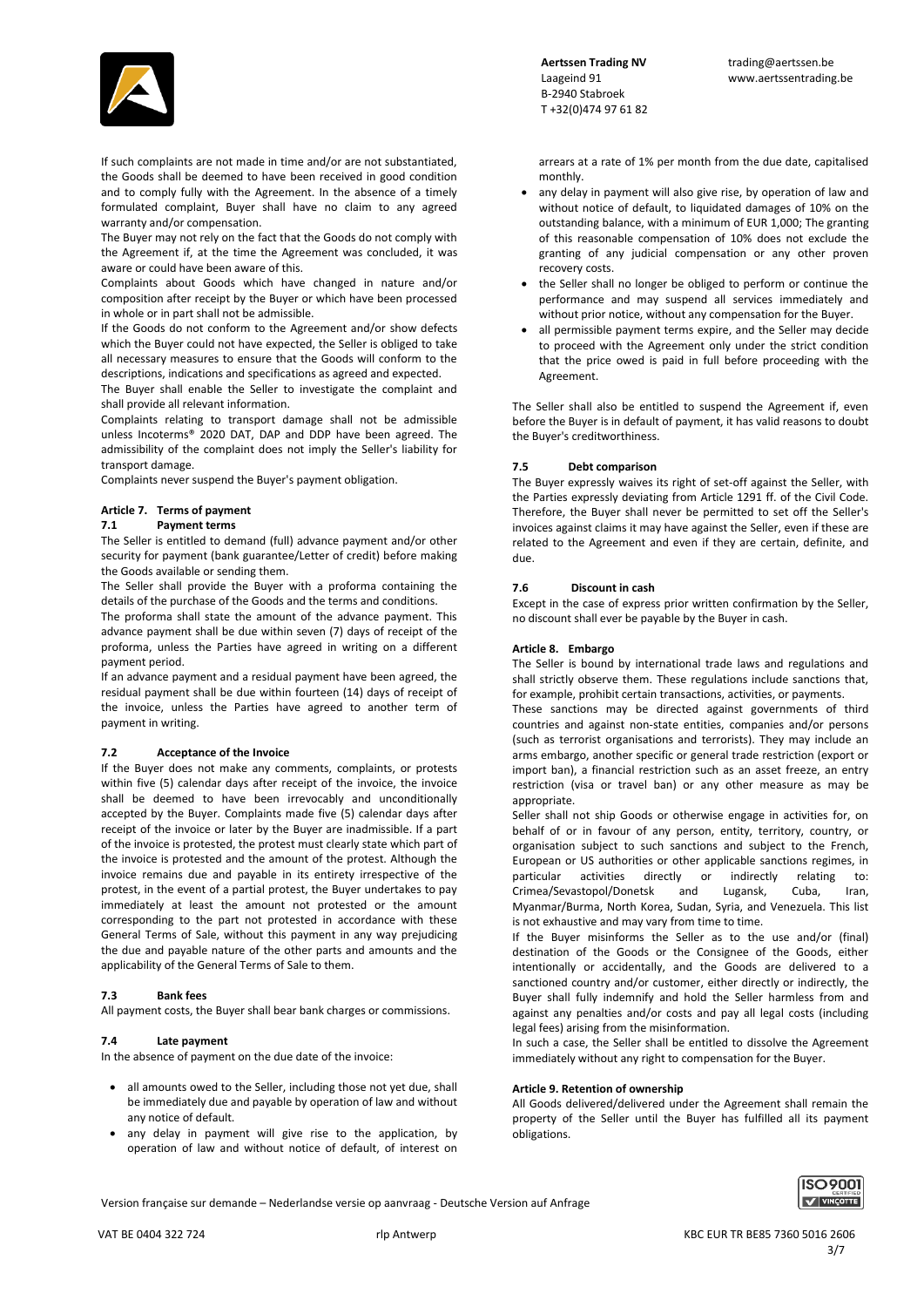

If such complaints are not made in time and/or are not substantiated, the Goods shall be deemed to have been received in good condition and to comply fully with the Agreement. In the absence of a timely formulated complaint, Buyer shall have no claim to any agreed warranty and/or compensation.

The Buyer may not rely on the fact that the Goods do not comply with the Agreement if, at the time the Agreement was concluded, it was aware or could have been aware of this.

Complaints about Goods which have changed in nature and/or composition after receipt by the Buyer or which have been processed in whole or in part shall not be admissible.

If the Goods do not conform to the Agreement and/or show defects which the Buyer could not have expected, the Seller is obliged to take all necessary measures to ensure that the Goods will conform to the descriptions, indications and specifications as agreed and expected.

The Buyer shall enable the Seller to investigate the complaint and shall provide all relevant information.

Complaints relating to transport damage shall not be admissible unless Incoterms® 2020 DAT, DAP and DDP have been agreed. The admissibility of the complaint does not imply the Seller's liability for transport damage.

Complaints never suspend the Buyer's payment obligation.

## **Article 7. Terms of payment**

### **7.1 Payment terms**

The Seller is entitled to demand (full) advance payment and/or other security for payment (bank guarantee/Letter of credit) before making the Goods available or sending them.

The Seller shall provide the Buyer with a proforma containing the details of the purchase of the Goods and the terms and conditions.

The proforma shall state the amount of the advance payment. This advance payment shall be due within seven (7) days of receipt of the proforma, unless the Parties have agreed in writing on a different payment period.

If an advance payment and a residual payment have been agreed, the residual payment shall be due within fourteen (14) days of receipt of the invoice, unless the Parties have agreed to another term of payment in writing.

### **7.2 Acceptance of the Invoice**

If the Buyer does not make any comments, complaints, or protests within five (5) calendar days after receipt of the invoice, the invoice shall be deemed to have been irrevocably and unconditionally accepted by the Buyer. Complaints made five (5) calendar days after receipt of the invoice or later by the Buyer are inadmissible. If a part of the invoice is protested, the protest must clearly state which part of the invoice is protested and the amount of the protest. Although the invoice remains due and payable in its entirety irrespective of the protest, in the event of a partial protest, the Buyer undertakes to pay immediately at least the amount not protested or the amount corresponding to the part not protested in accordance with these General Terms of Sale, without this payment in any way prejudicing the due and payable nature of the other parts and amounts and the applicability of the General Terms of Sale to them.

### **7.3 Bank fees**

All payment costs, the Buyer shall bear bank charges or commissions.

### **7.4 Late payment**

In the absence of payment on the due date of the invoice:

- all amounts owed to the Seller, including those not yet due, shall be immediately due and payable by operation of law and without any notice of default.
- any delay in payment will give rise to the application, by operation of law and without notice of default, of interest on

 B-2940 Stabroek T +32(0)474 97 61 82

arrears at a rate of 1% per month from the due date, capitalised monthly.

- any delay in payment will also give rise, by operation of law and without notice of default, to liquidated damages of 10% on the outstanding balance, with a minimum of EUR 1,000; The granting of this reasonable compensation of 10% does not exclude the granting of any judicial compensation or any other proven recovery costs.
- the Seller shall no longer be obliged to perform or continue the performance and may suspend all services immediately and without prior notice, without any compensation for the Buyer.
- all permissible payment terms expire, and the Seller may decide to proceed with the Agreement only under the strict condition that the price owed is paid in full before proceeding with the Agreement.

The Seller shall also be entitled to suspend the Agreement if, even before the Buyer is in default of payment, it has valid reasons to doubt the Buyer's creditworthiness.

### **7.5 Debt comparison**

The Buyer expressly waives its right of set-off against the Seller, with the Parties expressly deviating from Article 1291 ff. of the Civil Code. Therefore, the Buyer shall never be permitted to set off the Seller's invoices against claims it may have against the Seller, even if these are related to the Agreement and even if they are certain, definite, and due.

### **7.6 Discount in cash**

Except in the case of express prior written confirmation by the Seller, no discount shall ever be payable by the Buyer in cash.

### **Article 8. Embargo**

The Seller is bound by international trade laws and regulations and shall strictly observe them. These regulations include sanctions that, for example, prohibit certain transactions, activities, or payments.

These sanctions may be directed against governments of third countries and against non-state entities, companies and/or persons (such as terrorist organisations and terrorists). They may include an arms embargo, another specific or general trade restriction (export or import ban), a financial restriction such as an asset freeze, an entry restriction (visa or travel ban) or any other measure as may be appropriate.

Seller shall not ship Goods or otherwise engage in activities for, on behalf of or in favour of any person, entity, territory, country, or organisation subject to such sanctions and subject to the French, European or US authorities or other applicable sanctions regimes, in particular activities directly or indirectly relating to: Crimea/Sevastopol/Donetsk and Lugansk, Cuba, Iran, Myanmar/Burma, North Korea, Sudan, Syria, and Venezuela. This list is not exhaustive and may vary from time to time.

If the Buyer misinforms the Seller as to the use and/or (final) destination of the Goods or the Consignee of the Goods, either intentionally or accidentally, and the Goods are delivered to a sanctioned country and/or customer, either directly or indirectly, the Buyer shall fully indemnify and hold the Seller harmless from and against any penalties and/or costs and pay all legal costs (including legal fees) arising from the misinformation.

In such a case, the Seller shall be entitled to dissolve the Agreement immediately without any right to compensation for the Buyer.

### **Article 9. Retention of ownership**

All Goods delivered/delivered under the Agreement shall remain the property of the Seller until the Buyer has fulfilled all its payment obligations.

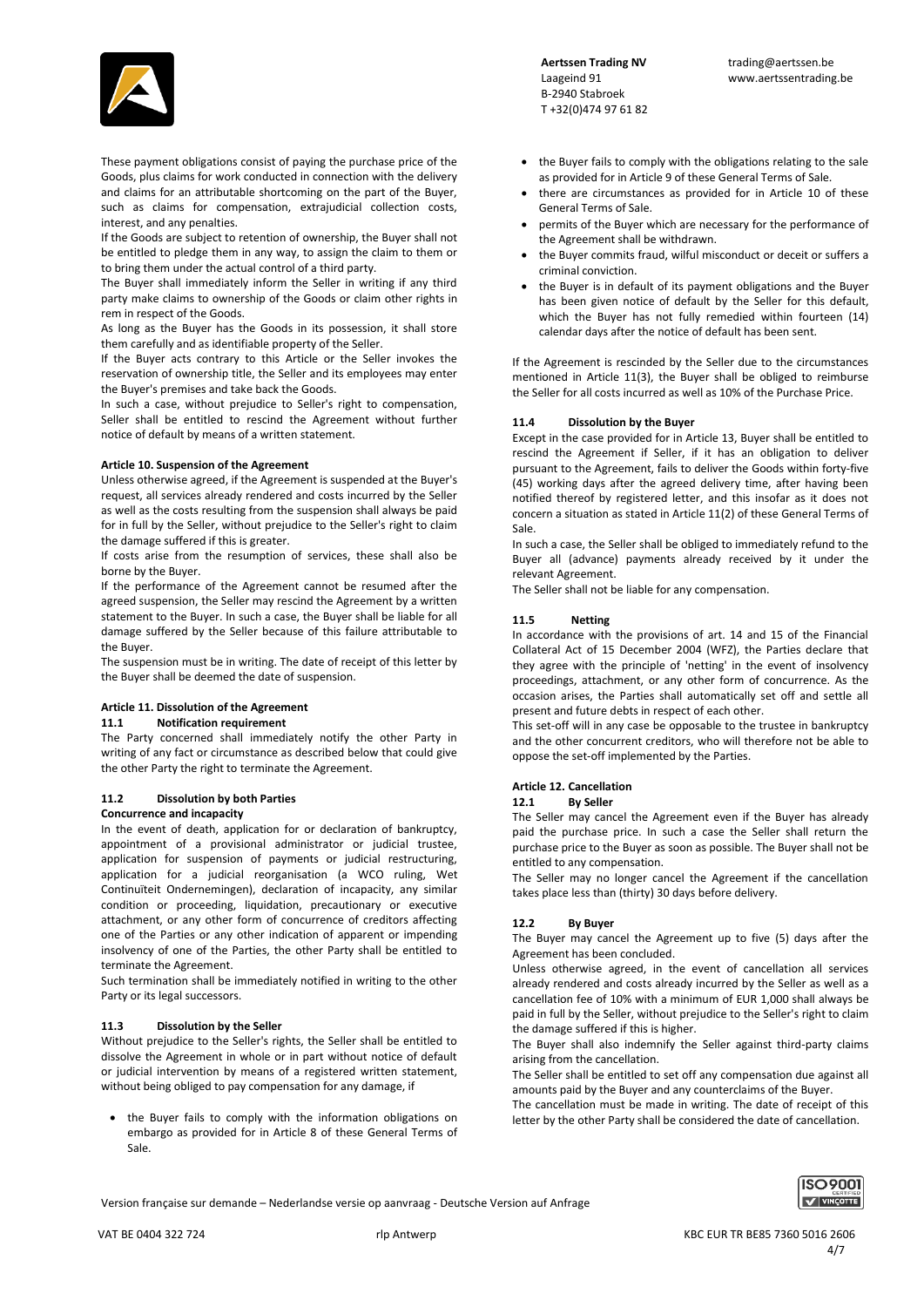

These payment obligations consist of paying the purchase price of the Goods, plus claims for work conducted in connection with the delivery and claims for an attributable shortcoming on the part of the Buyer, such as claims for compensation, extrajudicial collection costs, interest, and any penalties.

If the Goods are subject to retention of ownership, the Buyer shall not be entitled to pledge them in any way, to assign the claim to them or to bring them under the actual control of a third party.

The Buyer shall immediately inform the Seller in writing if any third party make claims to ownership of the Goods or claim other rights in rem in respect of the Goods.

As long as the Buyer has the Goods in its possession, it shall store them carefully and as identifiable property of the Seller.

If the Buyer acts contrary to this Article or the Seller invokes the reservation of ownership title, the Seller and its employees may enter the Buyer's premises and take back the Goods.

In such a case, without prejudice to Seller's right to compensation, Seller shall be entitled to rescind the Agreement without further notice of default by means of a written statement.

### **Article 10. Suspension of the Agreement**

Unless otherwise agreed, if the Agreement is suspended at the Buyer's request, all services already rendered and costs incurred by the Seller as well as the costs resulting from the suspension shall always be paid for in full by the Seller, without prejudice to the Seller's right to claim the damage suffered if this is greater.

If costs arise from the resumption of services, these shall also be borne by the Buyer.

If the performance of the Agreement cannot be resumed after the agreed suspension, the Seller may rescind the Agreement by a written statement to the Buyer. In such a case, the Buyer shall be liable for all damage suffered by the Seller because of this failure attributable to the Buyer.

The suspension must be in writing. The date of receipt of this letter by the Buyer shall be deemed the date of suspension.

# **Article 11. Dissolution of the Agreement**

**11.1 Notification requirement** 

The Party concerned shall immediately notify the other Party in writing of any fact or circumstance as described below that could give the other Party the right to terminate the Agreement.

# **11.2 Dissolution by both Parties**

### **Concurrence and incapacity**

In the event of death, application for or declaration of bankruptcy, appointment of a provisional administrator or judicial trustee, application for suspension of payments or judicial restructuring, application for a judicial reorganisation (a WCO ruling, Wet Continuïteit Ondernemingen), declaration of incapacity, any similar condition or proceeding, liquidation, precautionary or executive attachment, or any other form of concurrence of creditors affecting one of the Parties or any other indication of apparent or impending insolvency of one of the Parties, the other Party shall be entitled to terminate the Agreement.

Such termination shall be immediately notified in writing to the other Party or its legal successors.

## **11.3 Dissolution by the Seller**

Without prejudice to the Seller's rights, the Seller shall be entitled to dissolve the Agreement in whole or in part without notice of default or judicial intervention by means of a registered written statement, without being obliged to pay compensation for any damage, if

 the Buyer fails to comply with the information obligations on embargo as provided for in Article 8 of these General Terms of Sale.

 B-2940 Stabroek T +32(0)474 97 61 82

- the Buyer fails to comply with the obligations relating to the sale as provided for in Article 9 of these General Terms of Sale.
- there are circumstances as provided for in Article 10 of these General Terms of Sale.
- permits of the Buyer which are necessary for the performance of the Agreement shall be withdrawn.
- the Buyer commits fraud, wilful misconduct or deceit or suffers a criminal conviction.
- the Buyer is in default of its payment obligations and the Buyer has been given notice of default by the Seller for this default, which the Buyer has not fully remedied within fourteen (14) calendar days after the notice of default has been sent.

If the Agreement is rescinded by the Seller due to the circumstances mentioned in Article 11(3), the Buyer shall be obliged to reimburse the Seller for all costs incurred as well as 10% of the Purchase Price.

### **11.4 Dissolution by the Buyer**

Except in the case provided for in Article 13, Buyer shall be entitled to rescind the Agreement if Seller, if it has an obligation to deliver pursuant to the Agreement, fails to deliver the Goods within forty-five (45) working days after the agreed delivery time, after having been notified thereof by registered letter, and this insofar as it does not concern a situation as stated in Article 11(2) of these General Terms of Sale.

In such a case, the Seller shall be obliged to immediately refund to the Buyer all (advance) payments already received by it under the relevant Agreement.

The Seller shall not be liable for any compensation.

## **11.5 Netting**

In accordance with the provisions of art. 14 and 15 of the Financial Collateral Act of 15 December 2004 (WFZ), the Parties declare that they agree with the principle of 'netting' in the event of insolvency proceedings, attachment, or any other form of concurrence. As the occasion arises, the Parties shall automatically set off and settle all present and future debts in respect of each other.

This set-off will in any case be opposable to the trustee in bankruptcy and the other concurrent creditors, who will therefore not be able to oppose the set-off implemented by the Parties.

### **Article 12. Cancellation**

### **12.1 By Seller**

The Seller may cancel the Agreement even if the Buyer has already paid the purchase price. In such a case the Seller shall return the purchase price to the Buyer as soon as possible. The Buyer shall not be entitled to any compensation.

The Seller may no longer cancel the Agreement if the cancellation takes place less than (thirty) 30 days before delivery.

# **12.2 By Buyer**

The Buyer may cancel the Agreement up to five (5) days after the Agreement has been concluded.

Unless otherwise agreed, in the event of cancellation all services already rendered and costs already incurred by the Seller as well as a cancellation fee of 10% with a minimum of EUR 1,000 shall always be paid in full by the Seller, without prejudice to the Seller's right to claim the damage suffered if this is higher.

The Buyer shall also indemnify the Seller against third-party claims arising from the cancellation.

The Seller shall be entitled to set off any compensation due against all amounts paid by the Buyer and any counterclaims of the Buyer.

The cancellation must be made in writing. The date of receipt of this letter by the other Party shall be considered the date of cancellation.

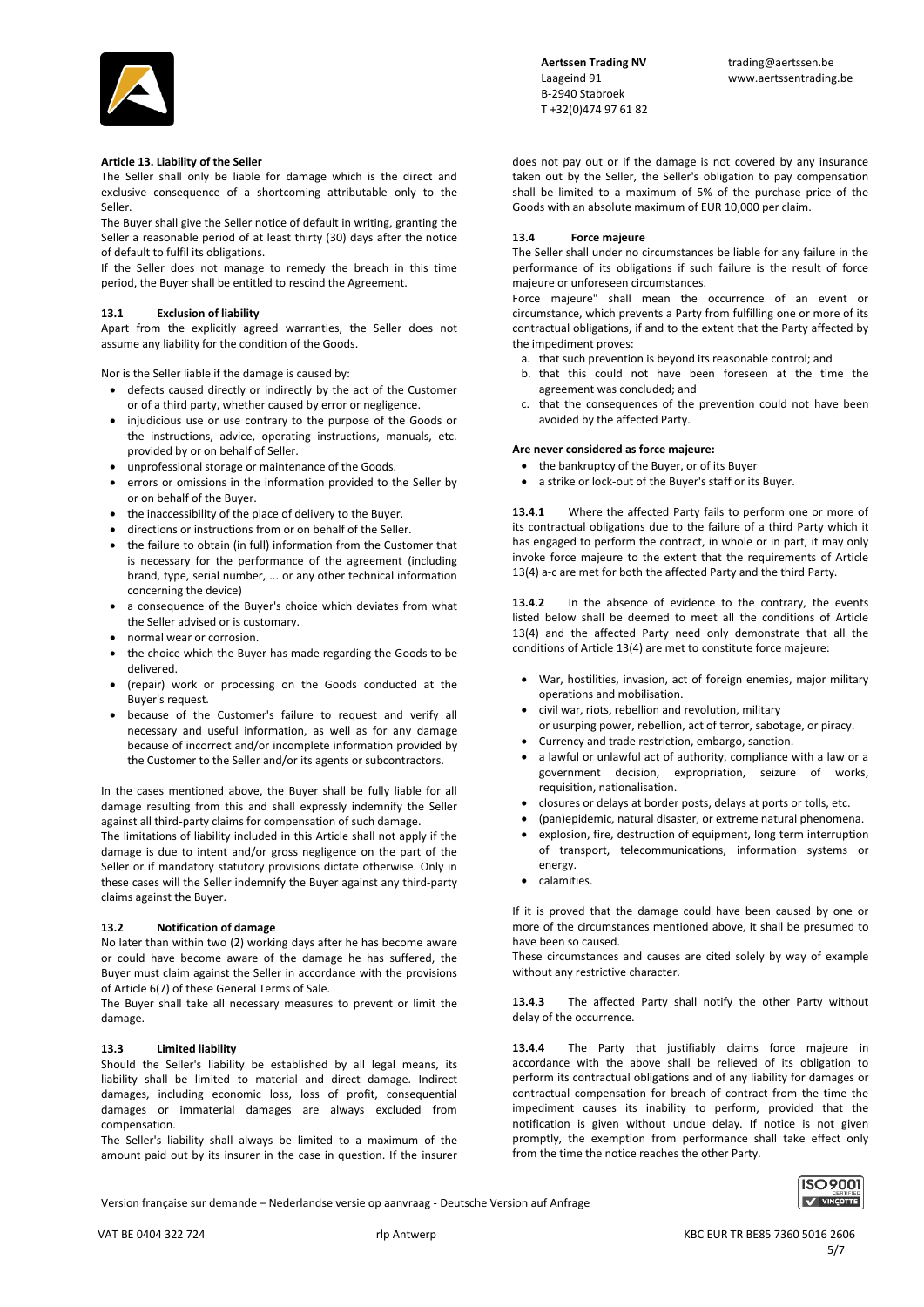

### **Article 13. Liability of the Seller**

The Seller shall only be liable for damage which is the direct and exclusive consequence of a shortcoming attributable only to the Seller.

The Buyer shall give the Seller notice of default in writing, granting the Seller a reasonable period of at least thirty (30) days after the notice of default to fulfil its obligations.

If the Seller does not manage to remedy the breach in this time period, the Buyer shall be entitled to rescind the Agreement.

### **13.1 Exclusion of liability**

Apart from the explicitly agreed warranties, the Seller does not assume any liability for the condition of the Goods.

Nor is the Seller liable if the damage is caused by:

- defects caused directly or indirectly by the act of the Customer or of a third party, whether caused by error or negligence.
- injudicious use or use contrary to the purpose of the Goods or the instructions, advice, operating instructions, manuals, etc. provided by or on behalf of Seller.
- unprofessional storage or maintenance of the Goods.
- errors or omissions in the information provided to the Seller by or on behalf of the Buyer.
- the inaccessibility of the place of delivery to the Buyer.
- directions or instructions from or on behalf of the Seller.
- the failure to obtain (in full) information from the Customer that is necessary for the performance of the agreement (including brand, type, serial number, ... or any other technical information concerning the device)
- a consequence of the Buyer's choice which deviates from what the Seller advised or is customary.
- normal wear or corrosion.
- the choice which the Buyer has made regarding the Goods to be delivered.
- (repair) work or processing on the Goods conducted at the Buyer's request.
- because of the Customer's failure to request and verify all necessary and useful information, as well as for any damage because of incorrect and/or incomplete information provided by the Customer to the Seller and/or its agents or subcontractors.

In the cases mentioned above, the Buyer shall be fully liable for all damage resulting from this and shall expressly indemnify the Seller against all third-party claims for compensation of such damage.

The limitations of liability included in this Article shall not apply if the damage is due to intent and/or gross negligence on the part of the Seller or if mandatory statutory provisions dictate otherwise. Only in these cases will the Seller indemnify the Buyer against any third-party claims against the Buyer.

### **13.2 Notification of damage**

No later than within two (2) working days after he has become aware or could have become aware of the damage he has suffered, the Buyer must claim against the Seller in accordance with the provisions of Article 6(7) of these General Terms of Sale.

The Buyer shall take all necessary measures to prevent or limit the damage.

### **13.3 Limited liability**

Should the Seller's liability be established by all legal means, its liability shall be limited to material and direct damage. Indirect damages, including economic loss, loss of profit, consequential damages or immaterial damages are always excluded from compensation.

The Seller's liability shall always be limited to a maximum of the amount paid out by its insurer in the case in question. If the insurer does not pay out or if the damage is not covered by any insurance taken out by the Seller, the Seller's obligation to pay compensation shall be limited to a maximum of 5% of the purchase price of the Goods with an absolute maximum of EUR 10,000 per claim.

### **13.4 Force majeure**

The Seller shall under no circumstances be liable for any failure in the performance of its obligations if such failure is the result of force majeure or unforeseen circumstances.

Force majeure" shall mean the occurrence of an event or circumstance, which prevents a Party from fulfilling one or more of its contractual obligations, if and to the extent that the Party affected by the impediment proves:

- a. that such prevention is beyond its reasonable control; and
- b. that this could not have been foreseen at the time the agreement was concluded; and
- c. that the consequences of the prevention could not have been avoided by the affected Party.

### **Are never considered as force majeure:**

- the bankruptcy of the Buyer, or of its Buyer
- a strike or lock-out of the Buyer's staff or its Buyer.

**13.4.1** Where the affected Party fails to perform one or more of its contractual obligations due to the failure of a third Party which it has engaged to perform the contract, in whole or in part, it may only invoke force majeure to the extent that the requirements of Article 13(4) a-c are met for both the affected Party and the third Party.

**13.4.2** In the absence of evidence to the contrary, the events listed below shall be deemed to meet all the conditions of Article 13(4) and the affected Party need only demonstrate that all the conditions of Article 13(4) are met to constitute force majeure:

- War, hostilities, invasion, act of foreign enemies, major military operations and mobilisation.
- civil war, riots, rebellion and revolution, military
- or usurping power, rebellion, act of terror, sabotage, or piracy.
- Currency and trade restriction, embargo, sanction.
- a lawful or unlawful act of authority, compliance with a law or a government decision, expropriation, seizure of works, requisition, nationalisation.
- closures or delays at border posts, delays at ports or tolls, etc.
- (pan)epidemic, natural disaster, or extreme natural phenomena.
- explosion, fire, destruction of equipment, long term interruption of transport, telecommunications, information systems or energy.
- calamities.

If it is proved that the damage could have been caused by one or more of the circumstances mentioned above, it shall be presumed to have been so caused.

These circumstances and causes are cited solely by way of example without any restrictive character.

**13.4.3** The affected Party shall notify the other Party without delay of the occurrence.

**13.4.4** The Party that justifiably claims force majeure in accordance with the above shall be relieved of its obligation to perform its contractual obligations and of any liability for damages or contractual compensation for breach of contract from the time the impediment causes its inability to perform, provided that the notification is given without undue delay. If notice is not given promptly, the exemption from performance shall take effect only from the time the notice reaches the other Party.

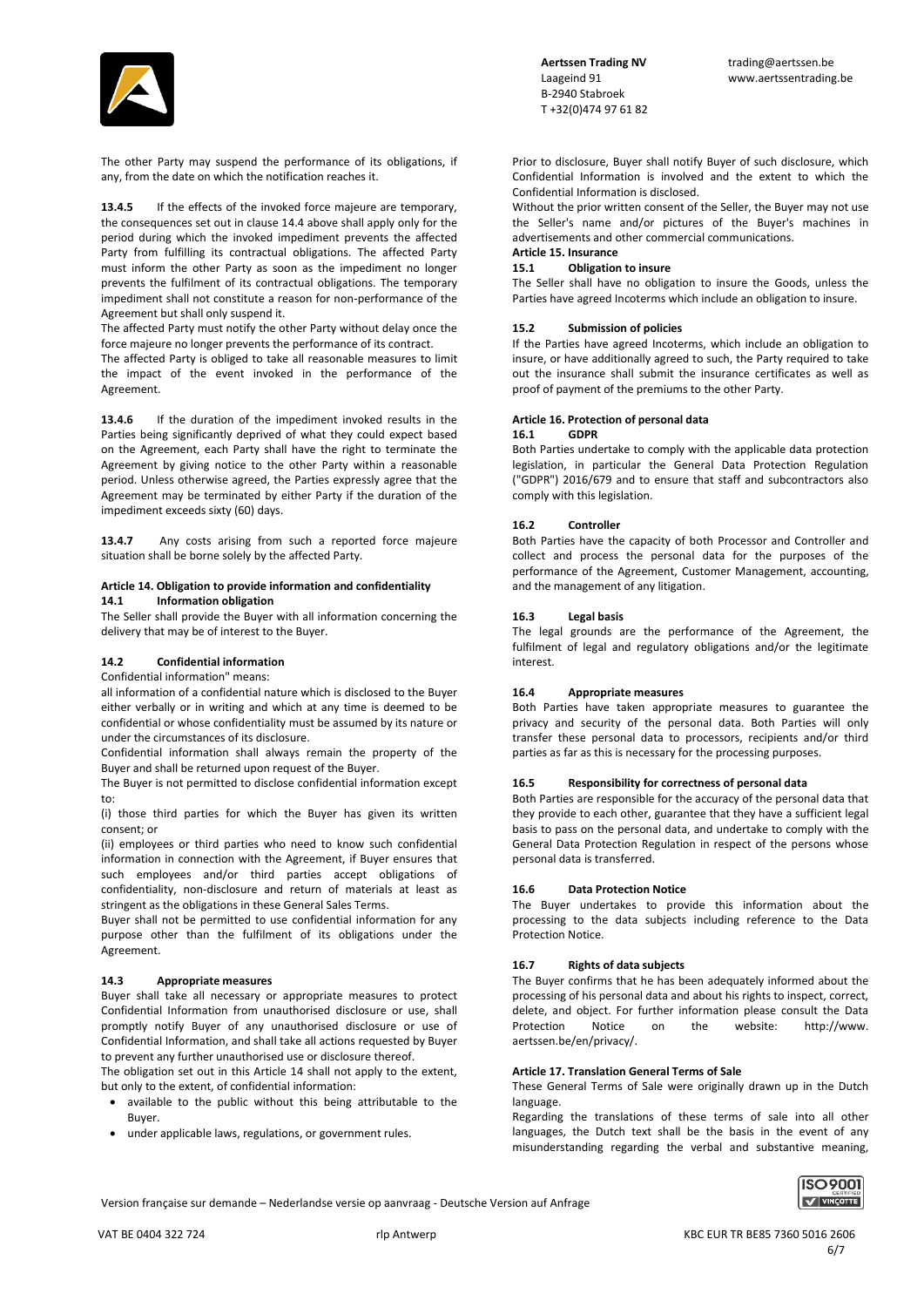

Aertssen Trading NV **trading@aertssen.be**  B-2940 Stabroek T +32(0)474 97 61 82

The other Party may suspend the performance of its obligations, if any, from the date on which the notification reaches it.

13.4.5 If the effects of the invoked force majeure are temporary, the consequences set out in clause 14.4 above shall apply only for the period during which the invoked impediment prevents the affected Party from fulfilling its contractual obligations. The affected Party must inform the other Party as soon as the impediment no longer prevents the fulfilment of its contractual obligations. The temporary impediment shall not constitute a reason for non-performance of the Agreement but shall only suspend it.

The affected Party must notify the other Party without delay once the force majeure no longer prevents the performance of its contract.

The affected Party is obliged to take all reasonable measures to limit the impact of the event invoked in the performance of the Agreement.

**13.4.6** If the duration of the impediment invoked results in the Parties being significantly deprived of what they could expect based on the Agreement, each Party shall have the right to terminate the Agreement by giving notice to the other Party within a reasonable period. Unless otherwise agreed, the Parties expressly agree that the Agreement may be terminated by either Party if the duration of the impediment exceeds sixty (60) days.

**13.4.7** Any costs arising from such a reported force majeure situation shall be borne solely by the affected Party.

### **Article 14. Obligation to provide information and confidentiality 14.1 Information obligation**

The Seller shall provide the Buyer with all information concerning the delivery that may be of interest to the Buyer.

# **14.2 Confidential information**

Confidential information" means:

all information of a confidential nature which is disclosed to the Buyer either verbally or in writing and which at any time is deemed to be confidential or whose confidentiality must be assumed by its nature or under the circumstances of its disclosure.

Confidential information shall always remain the property of the Buyer and shall be returned upon request of the Buyer.

The Buyer is not permitted to disclose confidential information except to:

(i) those third parties for which the Buyer has given its written consent; or

(ii) employees or third parties who need to know such confidential information in connection with the Agreement, if Buyer ensures that such employees and/or third parties accept obligations of confidentiality, non-disclosure and return of materials at least as stringent as the obligations in these General Sales Terms.

Buyer shall not be permitted to use confidential information for any purpose other than the fulfilment of its obligations under the Agreement.

## **14.3 Appropriate measures**

Buyer shall take all necessary or appropriate measures to protect Confidential Information from unauthorised disclosure or use, shall promptly notify Buyer of any unauthorised disclosure or use of Confidential Information, and shall take all actions requested by Buyer to prevent any further unauthorised use or disclosure thereof.

The obligation set out in this Article 14 shall not apply to the extent, but only to the extent, of confidential information:

- available to the public without this being attributable to the Buyer.
- under applicable laws, regulations, or government rules.

Prior to disclosure, Buyer shall notify Buyer of such disclosure, which Confidential Information is involved and the extent to which the Confidential Information is disclosed.

Without the prior written consent of the Seller, the Buyer may not use the Seller's name and/or pictures of the Buyer's machines in advertisements and other commercial communications. **Article 15. Insurance**

# **15.1 Obligation to insure**

The Seller shall have no obligation to insure the Goods, unless the Parties have agreed Incoterms which include an obligation to insure.

## **15.2 Submission of policies**

If the Parties have agreed Incoterms, which include an obligation to insure, or have additionally agreed to such, the Party required to take out the insurance shall submit the insurance certificates as well as proof of payment of the premiums to the other Party.

## **Article 16. Protection of personal data**

### **16.1 GDPR**

Both Parties undertake to comply with the applicable data protection legislation, in particular the General Data Protection Regulation ("GDPR") 2016/679 and to ensure that staff and subcontractors also comply with this legislation.

## **16.2 Controller**

Both Parties have the capacity of both Processor and Controller and collect and process the personal data for the purposes of the performance of the Agreement, Customer Management, accounting, and the management of any litigation.

### **16.3 Legal basis**

The legal grounds are the performance of the Agreement, the fulfilment of legal and regulatory obligations and/or the legitimate interest.

## **16.4 Appropriate measures**

Both Parties have taken appropriate measures to guarantee the privacy and security of the personal data. Both Parties will only transfer these personal data to processors, recipients and/or third parties as far as this is necessary for the processing purposes.

# **16.5 Responsibility for correctness of personal data**

Both Parties are responsible for the accuracy of the personal data that they provide to each other, guarantee that they have a sufficient legal basis to pass on the personal data, and undertake to comply with the General Data Protection Regulation in respect of the persons whose personal data is transferred.

# **16.6 Data Protection Notice**

The Buyer undertakes to provide this information about the processing to the data subjects including reference to the Data Protection Notice.

## **16.7 Rights of data subjects**

The Buyer confirms that he has been adequately informed about the processing of his personal data and about his rights to inspect, correct, delete, and object. For further information please consult the Data Protection Notice on the website: http://www. aertssen.be/en/privacy/.

## **Article 17. Translation General Terms of Sale**

These General Terms of Sale were originally drawn up in the Dutch language.

Regarding the translations of these terms of sale into all other languages, the Dutch text shall be the basis in the event of any misunderstanding regarding the verbal and substantive meaning,